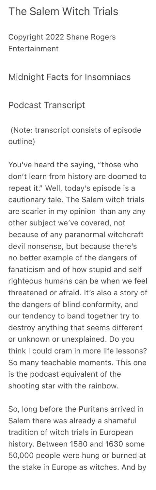## The Salem Witch Trials

Copyright 2022 Shane Rogers Entertainment

## Midnight Facts for Insomniacs

## Podcast Transcript

 (Note: transcript consists of episode outline)

You've heard the saying, "those who don't learn from history are doomed to repeat it." Well, today's episode is a cautionary tale. The Salem witch trials are scarier in my opinion than any any other subject we've covered, not because of any paranormal witchcraft devil nonsense, but because there's no better example of the dangers of fanaticism and of how stupid and self righteous humans can be when we feel threatened or afraid. It's also a story of the dangers of blind conformity, and our tendency to band together try to destroy anything that seems different or unknown or unexplained. Do you think I could cram in more life lessons? So many teachable moments. This one is the podcast equivalent of the shooting star with the rainbow.

So, long before the Puritans arrived in Salem there was already a shameful tradition of witch trials in European history. Between 1580 and 1630 some 50,000 people were hung or burned at the stake in Europe as witches. And by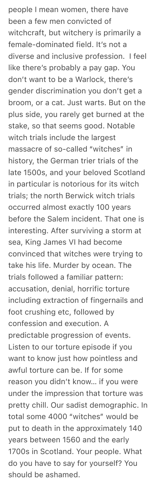people I mean women, there have been a few men convicted of witchcraft, but witchery is primarily a female-dominated field. It's not a diverse and inclusive profession. I feel like there's probably a pay gap. You don't want to be a Warlock, there's gender discrimination you don't get a broom, or a cat. Just warts. But on the plus side, you rarely get burned at the stake, so that seems good. Notable witch trials include the largest massacre of so-called "witches" in history, the German trier trials of the late 1500s, and your beloved Scotland in particular is notorious for its witch trials; the north Berwick witch trials occurred almost exactly 100 years before the Salem incident. That one is interesting. After surviving a storm at sea, King James VI had become convinced that witches were trying to take his life. Murder by ocean. The trials followed a familiar pattern: accusation, denial, horrific torture including extraction of fingernails and foot crushing etc, followed by confession and execution. A predictable progression of events. Listen to our torture episode if you want to know just how pointless and awful torture can be. If for some reason you didn't know… if you were under the impression that torture was pretty chill. Our sadist demographic. In total some 4000 "witches" would be put to death in the approximately 140 years between 1560 and the early 1700s in Scotland. Your people. What do you have to say for yourself? You should be ashamed.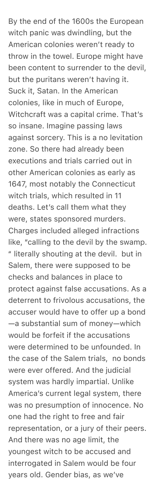By the end of the 1600s the European witch panic was dwindling, but the American colonies weren't ready to throw in the towel. Europe might have been content to surrender to the devil, but the puritans weren't having it. Suck it, Satan. In the American colonies, like in much of Europe, Witchcraft was a capital crime. That's so insane. Imagine passing laws against sorcery. This is a no levitation zone. So there had already been executions and trials carried out in other American colonies as early as 1647, most notably the Connecticut witch trials, which resulted in 11 deaths. Let's call them what they were, states sponsored murders. Charges included alleged infractions like, "calling to the devil by the swamp. " literally shouting at the devil. but in Salem, there were supposed to be checks and balances in place to protect against false accusations. As a deterrent to frivolous accusations, the accuser would have to offer up a bond —a substantial sum of money—which would be forfeit if the accusations were determined to be unfounded. In the case of the Salem trials, no bonds were ever offered. And the judicial system was hardly impartial. Unlike America's current legal system, there was no presumption of innocence. No one had the right to free and fair representation, or a jury of their peers. And there was no age limit, the youngest witch to be accused and interrogated in Salem would be four years old. Gender bias, as we've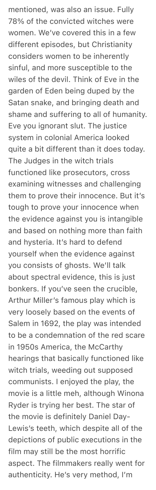mentioned, was also an issue. Fully 78% of the convicted witches were women. We've covered this in a few different episodes, but Christianity considers women to be inherently sinful, and more susceptible to the wiles of the devil. Think of Eve in the garden of Eden being duped by the Satan snake, and bringing death and shame and suffering to all of humanity. Eve you ignorant slut. The justice system in colonial America looked quite a bit different than it does today. The Judges in the witch trials functioned like prosecutors, cross examining witnesses and challenging them to prove their innocence. But it's tough to prove your innocence when the evidence against you is intangible and based on nothing more than faith and hysteria. It's hard to defend yourself when the evidence against you consists of ghosts. We'll talk about spectral evidence, this is just bonkers. If you've seen the crucible, Arthur Miller's famous play which is very loosely based on the events of Salem in 1692, the play was intended to be a condemnation of the red scare in 1950s America, the McCarthy hearings that basically functioned like witch trials, weeding out supposed communists. I enjoyed the play, the movie is a little meh, although Winona Ryder is trying her best. The star of the movie is definitely Daniel Day-Lewis's teeth, which despite all of the depictions of public executions in the film may still be the most horrific aspect. The filmmakers really went for authenticity. He's very method, I'm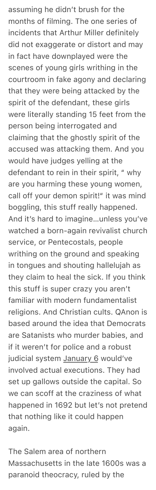assuming he didn't brush for the months of filming. The one series of incidents that Arthur Miller definitely did not exaggerate or distort and may in fact have downplayed were the scenes of young girls writhing in the courtroom in fake agony and declaring that they were being attacked by the spirit of the defendant, these girls were literally standing 15 feet from the person being interrogated and claiming that the ghostly spirit of the accused was attacking them. And you would have judges yelling at the defendant to rein in their spirit, " why are you harming these young women, call off your demon spirit!" it was mind boggling, this stuff really happened. And it's hard to imagine…unless you've watched a born-again revivalist church service, or Pentecostals, people writhing on the ground and speaking in tongues and shouting hallelujah as they claim to heal the sick. If you think this stuff is super crazy you aren't familiar with modern fundamentalist religions. And Christian cults. QAnon is based around the idea that Democrats are Satanists who murder babies, and if it weren't for police and a robust judicial system January 6 would've involved actual executions. They had set up gallows outside the capital. So we can scoff at the craziness of what happened in 1692 but let's not pretend that nothing like it could happen again.

The Salem area of northern Massachusetts in the late 1600s was a paranoid theocracy, ruled by the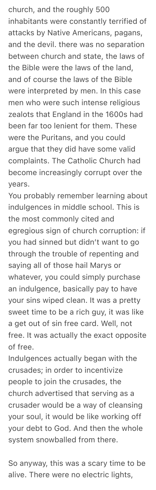church, and the roughly 500 inhabitants were constantly terrified of attacks by Native Americans, pagans, and the devil. there was no separation between church and state, the laws of the Bible were the laws of the land, and of course the laws of the Bible were interpreted by men. In this case men who were such intense religious zealots that England in the 1600s had been far too lenient for them. These were the Puritans, and you could argue that they did have some valid complaints. The Catholic Church had become increasingly corrupt over the years.

You probably remember learning about indulgences in middle school. This is the most commonly cited and egregious sign of church corruption: if you had sinned but didn't want to go through the trouble of repenting and saying all of those hail Marys or whatever, you could simply purchase an indulgence, basically pay to have your sins wiped clean. It was a pretty sweet time to be a rich guy, it was like a get out of sin free card. Well, not free. It was actually the exact opposite of free.

Indulgences actually began with the crusades; in order to incentivize people to join the crusades, the church advertised that serving as a crusader would be a way of cleansing your soul, it would be like working off your debt to God. And then the whole system snowballed from there.

So anyway, this was a scary time to be alive. There were no electric lights,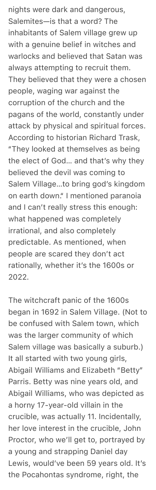nights were dark and dangerous, Salemites—is that a word? The inhabitants of Salem village grew up with a genuine belief in witches and warlocks and believed that Satan was always attempting to recruit them. They believed that they were a chosen people, waging war against the corruption of the church and the pagans of the world, constantly under attack by physical and spiritual forces. According to historian Richard Trask, "They looked at themselves as being the elect of God… and that's why they believed the devil was coming to Salem Village…to bring god's kingdom on earth down." I mentioned paranoia and I can't really stress this enough: what happened was completely irrational, and also completely predictable. As mentioned, when people are scared they don't act rationally, whether it's the 1600s or 2022.

The witchcraft panic of the 1600s began in 1692 in Salem Village. (Not to be confused with Salem town, which was the larger community of which Salem village was basically a suburb.) It all started with two young girls, Abigail Williams and EIizabeth "Betty" Parris. Betty was nine years old, and Abigail Williams, who was depicted as a horny 17-year-old villain in the crucible, was actually 11. Incidentally, her love interest in the crucible, John Proctor, who we'll get to, portrayed by a young and strapping Daniel day Lewis, would've been 59 years old. It's the Pocahontas syndrome, right, the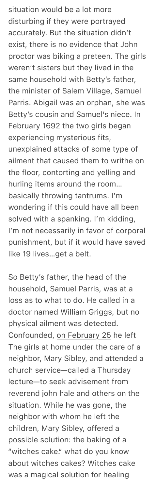situation would be a lot more disturbing if they were portrayed accurately. But the situation didn't exist, there is no evidence that John proctor was biking a preteen. The girls weren't sisters but they lived in the same household with Betty's father, the minister of Salem Village, Samuel Parris. Abigail was an orphan, she was Betty's cousin and Samuel's niece. In February 1692 the two girls began experiencing mysterious fits, unexplained attacks of some type of ailment that caused them to writhe on the floor, contorting and yelling and hurling items around the room… basically throwing tantrums. I'm wondering if this could have all been solved with a spanking. I'm kidding, I'm not necessarily in favor of corporal punishment, but if it would have saved like 19 lives…get a belt.

So Betty's father, the head of the household, Samuel Parris, was at a loss as to what to do. He called in a doctor named William Griggs, but no physical ailment was detected. Confounded, on February 25 he left The girls at home under the care of a neighbor, Mary Sibley, and attended a church service—called a Thursday lecture—to seek advisement from reverend john hale and others on the situation. While he was gone, the neighbor with whom he left the children, Mary Sibley, offered a possible solution: the baking of a "witches cake." what do you know about witches cakes? Witches cake was a magical solution for healing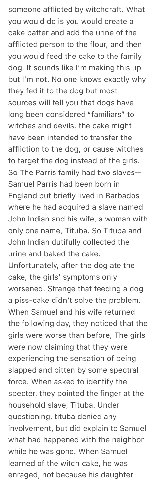someone afflicted by witchcraft. What you would do is you would create a cake batter and add the urine of the afflicted person to the flour, and then you would feed the cake to the family dog. It sounds like I'm making this up but I'm not. No one knows exactly why they fed it to the dog but most sources will tell you that dogs have long been considered "familiars" to witches and devils. the cake might have been intended to transfer the affliction to the dog, or cause witches to target the dog instead of the girls. So The Parris family had two slaves— Samuel Parris had been born in England but briefly lived in Barbados where he had acquired a slave named John Indian and his wife, a woman with only one name, Tituba. So Tituba and John Indian dutifully collected the urine and baked the cake. Unfortunately, after the dog ate the cake, the girls' symptoms only worsened. Strange that feeding a dog a piss-cake didn't solve the problem. When Samuel and his wife returned the following day, they noticed that the girls were worse than before, The girls were now claiming that they were experiencing the sensation of being slapped and bitten by some spectral force. When asked to identify the specter, they pointed the finger at the household slave, Tituba. Under questioning, tituba denied any involvement, but did explain to Samuel what had happened with the neighbor while he was gone. When Samuel learned of the witch cake, he was enraged, not because his daughter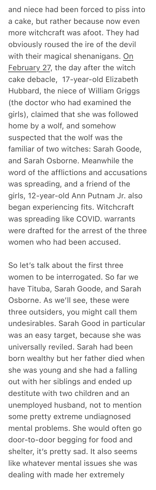and niece had been forced to piss into a cake, but rather because now even more witchcraft was afoot. They had obviously roused the ire of the devil with their magical shenanigans. On February 27, the day after the witch cake debacle, 17-year-old Elizabeth Hubbard, the niece of William Griggs (the doctor who had examined the girls), claimed that she was followed home by a wolf, and somehow suspected that the wolf was the familiar of two witches: Sarah Goode, and Sarah Osborne. Meanwhile the word of the afflictions and accusations was spreading, and a friend of the girls, 12-year-old Ann Putnam Jr. also began experiencing fits. Witchcraft was spreading like COVID. warrants were drafted for the arrest of the three women who had been accused.

So let's talk about the first three women to be interrogated. So far we have Tituba, Sarah Goode, and Sarah Osborne. As we'll see, these were three outsiders, you might call them undesirables. Sarah Good in particular was an easy target, because she was universally reviled. Sarah had been born wealthy but her father died when she was young and she had a falling out with her siblings and ended up destitute with two children and an unemployed husband, not to mention some pretty extreme undiagnosed mental problems. She would often go door-to-door begging for food and shelter, it's pretty sad. It also seems like whatever mental issues she was dealing with made her extremely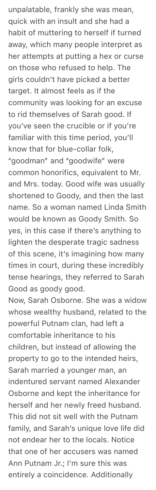unpalatable, frankly she was mean, quick with an insult and she had a habit of muttering to herself if turned away, which many people interpret as her attempts at putting a hex or curse on those who refused to help. The girls couldn't have picked a better target. It almost feels as if the community was looking for an excuse to rid themselves of Sarah good. If you've seen the crucible or if you're familiar with this time period, you'll know that for blue-collar folk, "goodman" and "goodwife" were common honorifics, equivalent to Mr. and Mrs. today. Good wife was usually shortened to Goody, and then the last name. So a woman named Linda Smith would be known as Goody Smith. So yes, in this case if there's anything to lighten the desperate tragic sadness of this scene, it's imagining how many times in court, during these incredibly tense hearings, they referred to Sarah Good as goody good.

Now, Sarah Osborne. She was a widow whose wealthy husband, related to the powerful Putnam clan, had left a comfortable inheritance to his children, but instead of allowing the property to go to the intended heirs, Sarah married a younger man, an indentured servant named Alexander Osborne and kept the inheritance for herself and her newly freed husband. This did not sit well with the Putnam family, and Sarah's unique love life did not endear her to the locals. Notice that one of her accusers was named Ann Putnam Jr.; I'm sure this was entirely a coincidence. Additionally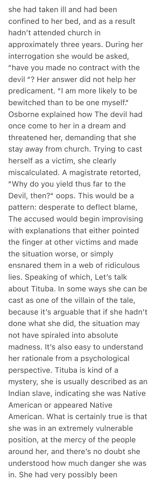she had taken ill and had been confined to her bed, and as a result hadn't attended church in approximately three years. During her interrogation she would be asked, "have you made no contract with the devil "? Her answer did not help her predicament. "I am more likely to be bewitched than to be one myself." Osborne explained how The devil had once come to her in a dream and threatened her, demanding that she stay away from church. Trying to cast herself as a victim, she clearly miscalculated. A magistrate retorted, "Why do you yield thus far to the Devil, then?" oops. This would be a pattern: desperate to deflect blame, The accused would begin improvising with explanations that either pointed the finger at other victims and made the situation worse, or simply ensnared them in a web of ridiculous lies. Speaking of which, Let's talk about Tituba. In some ways she can be cast as one of the villain of the tale, because it's arguable that if she hadn't done what she did, the situation may not have spiraled into absolute madness. It's also easy to understand her rationale from a psychological perspective. Tituba is kind of a mystery, she is usually described as an Indian slave, indicating she was Native American or appeared Native American. What is certainly true is that she was in an extremely vulnerable position, at the mercy of the people around her, and there's no doubt she understood how much danger she was in. She had very possibly been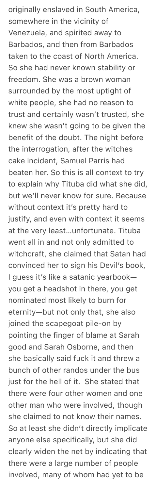originally enslaved in South America, somewhere in the vicinity of Venezuela, and spirited away to Barbados, and then from Barbados taken to the coast of North America. So she had never known stability or freedom. She was a brown woman surrounded by the most uptight of white people, she had no reason to trust and certainly wasn't trusted, she knew she wasn't going to be given the benefit of the doubt. The night before the interrogation, after the witches cake incident, Samuel Parris had beaten her. So this is all context to try to explain why Tituba did what she did, but we'll never know for sure. Because without context it's pretty hard to justify, and even with context it seems at the very least…unfortunate. Tituba went all in and not only admitted to witchcraft, she claimed that Satan had convinced her to sign his Devil's book, I guess it's like a satanic yearbook you get a headshot in there, you get nominated most likely to burn for eternity—but not only that, she also joined the scapegoat pile-on by pointing the finger of blame at Sarah good and Sarah Osborne, and then she basically said fuck it and threw a bunch of other randos under the bus just for the hell of it. She stated that there were four other women and one other man who were involved, though she claimed to not know their names. So at least she didn't directly implicate anyone else specifically, but she did clearly widen the net by indicating that there were a large number of people involved, many of whom had yet to be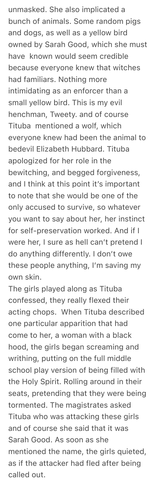unmasked. She also implicated a bunch of animals. Some random pigs and dogs, as well as a yellow bird owned by Sarah Good, which she must have known would seem credible because everyone knew that witches had familiars. Nothing more intimidating as an enforcer than a small yellow bird. This is my evil henchman, Tweety. and of course Tituba mentioned a wolf, which everyone knew had been the animal to bedevil Elizabeth Hubbard. Tituba apologized for her role in the bewitching, and begged forgiveness, and I think at this point it's important to note that she would be one of the only accused to survive, so whatever you want to say about her, her instinct for self-preservation worked. And if I were her, I sure as hell can't pretend I do anything differently. I don't owe these people anything, I'm saving my own skin.

The girls played along as Tituba confessed, they really flexed their acting chops. When Tituba described one particular apparition that had come to her, a woman with a black hood, the girls began screaming and writhing, putting on the full middle school play version of being filled with the Holy Spirit. Rolling around in their seats, pretending that they were being tormented. The magistrates asked Tituba who was attacking these girls and of course she said that it was Sarah Good. As soon as she mentioned the name, the girls quieted, as if the attacker had fled after being called out.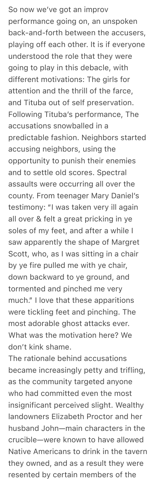So now we've got an improv performance going on, an unspoken back-and-forth between the accusers, playing off each other. It is if everyone understood the role that they were going to play in this debacle, with different motivations: The girls for attention and the thrill of the farce, and Tituba out of self preservation. Following Tituba's performance, The accusations snowballed in a predictable fashion. Neighbors started accusing neighbors, using the opportunity to punish their enemies and to settle old scores. Spectral assaults were occurring all over the county. From teenager Mary Daniel's testimony: "I was taken very ill again all over & felt a great pricking in ye soles of my feet, and after a while I saw apparently the shape of Margret Scott, who, as I was sitting in a chair by ye fire pulled me with ye chair, down backward to ye ground, and tormented and pinched me very much." I love that these apparitions were tickling feet and pinching. The most adorable ghost attacks ever. What was the motivation here? We don't kink shame.

The rationale behind accusations became increasingly petty and trifling, as the community targeted anyone who had committed even the most insignificant perceived slight. Wealthy landowners Elizabeth Proctor and her husband John—main characters in the crucible—were known to have allowed Native Americans to drink in the tavern they owned, and as a result they were resented by certain members of the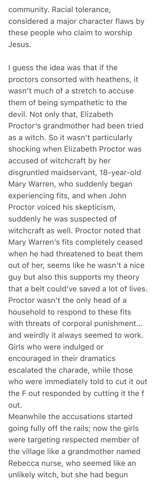community. Racial tolerance, considered a major character flaws by these people who claim to worship Jesus.

I guess the idea was that if the proctors consorted with heathens, it wasn't much of a stretch to accuse them of being sympathetic to the devil. Not only that, Elizabeth Proctor's grandmother had been tried as a witch. So it wasn't particularly shocking when Elizabeth Proctor was accused of witchcraft by her disgruntled maidservant, 18-year-old Mary Warren, who suddenly began experiencing fits, and when John Proctor voiced his skepticism, suddenly he was suspected of witchcraft as well. Proctor noted that Mary Warren's fits completely ceased when he had threatened to beat them out of her, seems like he wasn't a nice guy but also this supports my theory that a belt could've saved a lot of lives. Proctor wasn't the only head of a household to respond to these fits with threats of corporal punishment… and weirdly it always seemed to work. Girls who were indulged or encouraged in their dramatics escalated the charade, while those who were immediately told to cut it out the F out responded by cutting it the f out.

Meanwhile the accusations started going fully off the rails; now the girls were targeting respected member of the village like a grandmother named Rebecca nurse, who seemed like an unlikely witch, but she had begun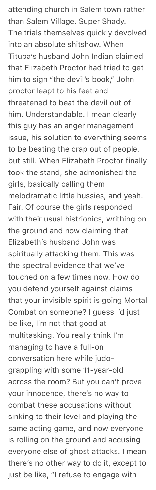attending church in Salem town rather than Salem Village. Super Shady. The trials themselves quickly devolved into an absolute shitshow. When Tituba's husband John Indian claimed that Elizabeth Proctor had tried to get him to sign "the devil's book," John proctor leapt to his feet and threatened to beat the devil out of him. Understandable. I mean clearly this guy has an anger management issue, his solution to everything seems to be beating the crap out of people, but still. When Elizabeth Proctor finally took the stand, she admonished the girls, basically calling them melodramatic little hussies, and yeah. Fair. Of course the girls responded with their usual histrionics, writhing on the ground and now claiming that Elizabeth's husband John was spiritually attacking them. This was the spectral evidence that we've touched on a few times now. How do you defend yourself against claims that your invisible spirit is going Mortal Combat on someone? I guess I'd just be like, I'm not that good at multitasking. You really think I'm managing to have a full-on conversation here while judograppling with some 11-year-old across the room? But you can't prove your innocence, there's no way to combat these accusations without sinking to their level and playing the same acting game, and now everyone is rolling on the ground and accusing everyone else of ghost attacks. I mean there's no other way to do it, except to just be like, "I refuse to engage with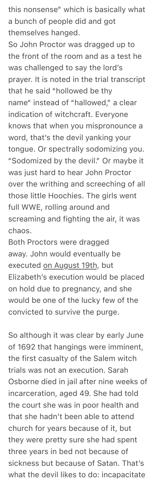this nonsense" which is basically what a bunch of people did and got themselves hanged.

So John Proctor was dragged up to the front of the room and as a test he was challenged to say the lord's prayer. It is noted in the trial transcript that he said "hollowed be thy name" instead of "hallowed," a clear indication of witchcraft. Everyone knows that when you mispronounce a word, that's the devil yanking your tongue. Or spectrally sodomizing you. "Sodomized by the devil." Or maybe it was just hard to hear John Proctor over the writhing and screeching of all those little Hoochies. The girls went full WWE, rolling around and screaming and fighting the air, it was chaos.

Both Proctors were dragged away. John would eventually be executed on August 19th, but Elizabeth's execution would be placed on hold due to pregnancy, and she would be one of the lucky few of the convicted to survive the purge.

So although it was clear by early June of 1692 that hangings were imminent, the first casualty of the Salem witch trials was not an execution. Sarah Osborne died in jail after nine weeks of incarceration, aged 49. She had told the court she was in poor health and that she hadn't been able to attend church for years because of it, but they were pretty sure she had spent three years in bed not because of sickness but because of Satan. That's what the devil likes to do: incapacitate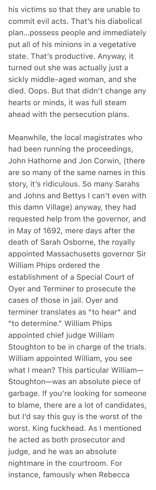his victims so that they are unable to commit evil acts. That's his diabolical plan…possess people and immediately put all of his minions in a vegetative state. That's productive. Anyway, it turned out she was actually just a sickly middle-aged woman, and she died. Oops. But that didn't change any hearts or minds, it was full steam ahead with the persecution plans.

Meanwhile, the local magistrates who had been running the proceedings, John Hathorne and Jon Corwin, (there are so many of the same names in this story, it's ridiculous. So many Sarahs and Johns and Bettys I can't even with this damn Village) anyway, they had requested help from the governor, and in May of 1692, mere days after the death of Sarah Osborne, the royally appointed Massachusetts governor Sir William Phips ordered the establishment of a Special Court of Oyer and Terminer to prosecute the cases of those in jail. Oyer and terminer translates as "to hear" and "to determine." William Phips appointed chief judge William Stoughton to be in charge of the trials. William appointed William, you see what I mean? This particular William— Stoughton—was an absolute piece of garbage. If you're looking for someone to blame, there are a lot of candidates, but I'd say this guy is the worst of the worst. King fuckhead. As I mentioned he acted as both prosecutor and judge, and he was an absolute nightmare in the courtroom. For instance, famously when Rebecca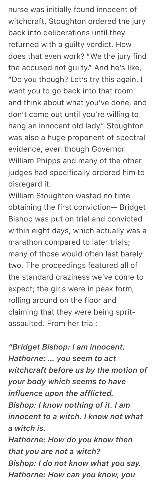nurse was initially found innocent of witchcraft, Stoughton ordered the jury back into deliberations until they returned with a guilty verdict. How does that even work? "We the jury find the accused not guilty." And he's like, "Do you though? Let's try this again. I want you to go back into that room and think about what you've done, and don't come out until you're willing to hang an innocent old lady." Stoughton was also a huge proponent of spectral evidence, even though Governor William Phipps and many of the other judges had specifically ordered him to disregard it.

William Stoughton wasted no time obtaining the first conviction— Bridget Bishop was put on trial and convicted within eight days, which actually was a marathon compared to later trials; many of those would often last barely two. The proceedings featured all of the standard craziness we've come to expect; the girls were in peak form, rolling around on the floor and claiming that they were being spritassaulted. From her trial:

*"Bridget Bishop: I am innocent. Hathorne: … you seem to act witchcraft before us by the motion of your body which seems to have influence upon the afflicted. Bishop: I know nothing of it. I am innocent to a witch. I know not what a witch is. Hathorne: How do you know then that you are not a witch? Bishop: I do not know what you say.*

*Hathorne: How can you know, you*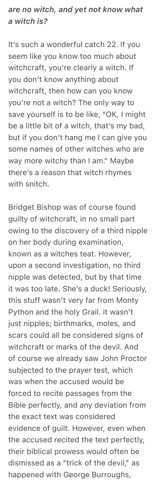*are no witch, and yet not know what a witch is?*

It's such a wonderful catch 22. If you seem like you know too much about witchcraft, you're clearly a witch. If you don't know anything about witchcraft, then how can you know you're not a witch? The only way to save yourself is to be like, "OK, I might be a little bit of a witch, that's my bad, but if you don't hang me I can give you some names of other witches who are way more witchy than I am." Maybe there's a reason that witch rhymes with snitch.

Bridget Bishop was of course found guilty of witchcraft, in no small part owing to the discovery of a third nipple on her body during examination, known as a witches teat. However, upon a second investigation, no third nipple was detected, but by that time it was too late. She's a duck! Seriously, this stuff wasn't very far from Monty Python and the holy Grail. it wasn't just nipples; birthmarks, moles, and scars could all be considered signs of witchcraft or marks of the devil. And of course we already saw John Proctor subjected to the prayer test, which was when the accused would be forced to recite passages from the Bible perfectly, and any deviation from the exact text was considered evidence of guilt. However, even when the accused recited the text perfectly, their biblical prowess would often be dismissed as a "trick of the devil," as happened with George Burroughs,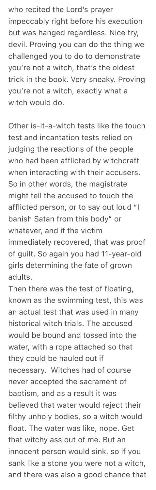who recited the Lord's prayer impeccably right before his execution but was hanged regardless. Nice try, devil. Proving you can do the thing we challenged you to do to demonstrate you're not a witch, that's the oldest trick in the book. Very sneaky. Proving you're not a witch, exactly what a witch would do.

Other is-it-a-witch tests like the touch test and incantation tests relied on judging the reactions of the people who had been afflicted by witchcraft when interacting with their accusers. So in other words, the magistrate might tell the accused to touch the afflicted person, or to say out loud "I banish Satan from this body" or whatever, and if the victim immediately recovered, that was proof of guilt. So again you had 11-year-old girls determining the fate of grown adults.

Then there was the test of floating, known as the swimming test, this was an actual test that was used in many historical witch trials. The accused would be bound and tossed into the water, with a rope attached so that they could be hauled out if necessary. Witches had of course never accepted the sacrament of baptism, and as a result it was believed that water would reject their filthy unholy bodies, so a witch would float. The water was like, nope. Get that witchy ass out of me. But an innocent person would sink, so if you sank like a stone you were not a witch, and there was also a good chance that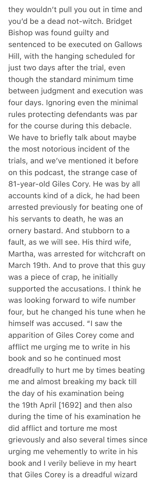they wouldn't pull you out in time and you'd be a dead not-witch. Bridget Bishop was found guilty and sentenced to be executed on Gallows Hill, with the hanging scheduled for just two days after the trial, even though the standard minimum time between judgment and execution was four days. Ignoring even the minimal rules protecting defendants was par for the course during this debacle. We have to briefly talk about maybe the most notorious incident of the trials, and we've mentioned it before on this podcast, the strange case of 81-year-old Giles Cory. He was by all accounts kind of a dick, he had been arrested previously for beating one of his servants to death, he was an ornery bastard. And stubborn to a fault, as we will see. His third wife, Martha, was arrested for witchcraft on March 19th. And to prove that this guy was a piece of crap, he initially supported the accusations. I think he was looking forward to wife number four, but he changed his tune when he himself was accused. "I saw the apparition of Giles Corey come and afflict me urging me to write in his book and so he continued most dreadfully to hurt me by times beating me and almost breaking my back till the day of his examination being the 19th April [1692] and then also during the time of his examination he did afflict and torture me most grievously and also several times since urging me vehemently to write in his book and I verily believe in my heart that Giles Corey is a dreadful wizard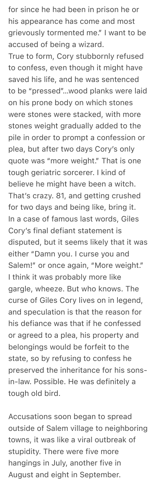for since he had been in prison he or his appearance has come and most grievously tormented me." I want to be accused of being a wizard.

True to form, Cory stubbornly refused to confess, even though it might have saved his life, and he was sentenced to be "pressed"…wood planks were laid on his prone body on which stones were stones were stacked, with more stones weight gradually added to the pile in order to prompt a confession or plea, but after two days Cory's only quote was "more weight." That is one tough geriatric sorcerer. I kind of believe he might have been a witch. That's crazy. 81, and getting crushed for two days and being like, bring it. In a case of famous last words, Giles Cory's final defiant statement is disputed, but it seems likely that it was either "Damn you. I curse you and Salem!" or once again, "More weight." I think it was probably more like gargle, wheeze. But who knows. The curse of Giles Cory lives on in legend, and speculation is that the reason for his defiance was that if he confessed or agreed to a plea, his property and belongings would be forfeit to the state, so by refusing to confess he preserved the inheritance for his sonsin-law. Possible. He was definitely a tough old bird.

Accusations soon began to spread outside of Salem village to neighboring towns, it was like a viral outbreak of stupidity. There were five more hangings in July, another five in August and eight in September.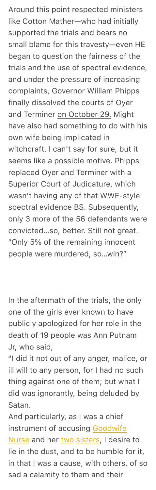Around this point respected ministers like Cotton Mather—who had initially supported the trials and bears no small blame for this travesty—even HE began to question the fairness of the trials and the use of spectral evidence, and under the pressure of increasing complaints, Governor William Phipps finally dissolved the courts of Oyer and Terminer on October 29. Might have also had something to do with his own wife being implicated in witchcraft. I can't say for sure, but it seems like a possible motive. Phipps replaced Oyer and Terminer with a Superior Court of Judicature, which wasn't having any of that WWE-style spectral evidence BS. Subsequently, only 3 more of the 56 defendants were convicted…so, better. Still not great. "Only 5% of the remaining innocent people were murdered, so…win?"

In the aftermath of the trials, the only one of the girls ever known to have publicly apologized for her role in the death of 19 people was Ann Putnam Jr, who said,

"I did it not out of any anger, malice, or ill will to any person, for I had no such thing against one of them; but what I did was ignorantly, being deluded by Satan.

And particularly, as I w[as a chief](https://en.m.wikipedia.org/wiki/Rebecca_Nurse)  [instrum](https://en.m.wikipedia.org/wiki/Rebecca_Nurse)ent of [accu](https://en.m.wikipedia.org/wiki/Mary_Eastey)[sing](https://en.m.wikipedia.org/wiki/Sarah_Cloyce) Goodwife Nurse and her two sisters, I desire to lie in the dust, and to be humble for it, in that I was a cause, with others, of so sad a calamity to them and their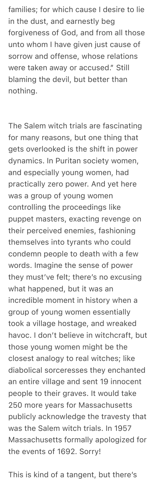families; for which cause I desire to lie in the dust, and earnestly beg forgiveness of God, and from all those unto whom I have given just cause of sorrow and offense, whose relations were taken away or accused." Still blaming the devil, but better than nothing.

The Salem witch trials are fascinating for many reasons, but one thing that gets overlooked is the shift in power dynamics. In Puritan society women, and especially young women, had practically zero power. And yet here was a group of young women controlling the proceedings like puppet masters, exacting revenge on their perceived enemies, fashioning themselves into tyrants who could condemn people to death with a few words. Imagine the sense of power they must've felt; there's no excusing what happened, but it was an incredible moment in history when a group of young women essentially took a village hostage, and wreaked havoc. I don't believe in witchcraft, but those young women might be the closest analogy to real witches; like diabolical sorceresses they enchanted an entire village and sent 19 innocent people to their graves. It would take 250 more years for Massachusetts publicly acknowledge the travesty that was the Salem witch trials. In 1957 Massachusetts formally apologized for the events of 1692. Sorry!

This is kind of a tangent, but there's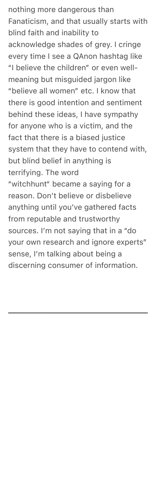nothing more dangerous than Fanaticism, and that usually starts with blind faith and inability to acknowledge shades of grey. I cringe every time I see a QAnon hashtag like "I believe the children" or even wellmeaning but misguided jargon like "believe all women" etc. I know that there is good intention and sentiment behind these ideas, I have sympathy for anyone who is a victim, and the fact that there is a biased justice system that they have to contend with, but blind belief in anything is terrifying. The word "witchhunt" became a saying for a reason. Don't believe or disbelieve anything until you've gathered facts from reputable and trustworthy sources. I'm not saying that in a "do your own research and ignore experts" sense, I'm talking about being a

discerning consumer of information.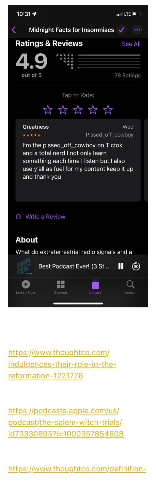| 10:31 $\blacktriangleright$                                                                                                                                                         |               |                          | $\blacksquare$ LTE $\blacksquare$ |
|-------------------------------------------------------------------------------------------------------------------------------------------------------------------------------------|---------------|--------------------------|-----------------------------------|
| Midnight Facts for Insomniacs V<br>く                                                                                                                                                |               |                          |                                   |
| <b>Ratings &amp; Reviews</b><br>See All                                                                                                                                             |               |                          |                                   |
|                                                                                                                                                                                     |               |                          |                                   |
| out of 5                                                                                                                                                                            |               |                          | 78 Ratings                        |
| Tap to Rate:                                                                                                                                                                        |               |                          |                                   |
|                                                                                                                                                                                     | な な な な な     |                          |                                   |
| <b>Greatness</b><br>*****                                                                                                                                                           |               | Pissed_off_cowboy        | Wed                               |
| I'm the pissed_off_cowboy on Tictok<br>and a total nerd I not only learn<br>something each time I listen but I also<br>use y'all as fuel for my content keep it up<br>and thank you |               |                          |                                   |
| <b>Z</b> Write a Review                                                                                                                                                             |               |                          |                                   |
| <b>About</b>                                                                                                                                                                        |               |                          |                                   |
| What do extraterrestrial radio signals and a                                                                                                                                        |               |                          |                                   |
|                                                                                                                                                                                     |               | Best Podcast Ever! (3 St | Ш<br>$\left(30\right)$            |
| <b>Listen Now</b>                                                                                                                                                                   | <b>Browse</b> | Library                  |                                   |

[https://www.thoughtco.com/](https://www.thoughtco.com/indulgences-their-role-in-the-reformation-1221776) [indulgences-their-rol](https://www.thoughtco.com/indulgences-their-role-in-the-reformation-1221776)e-in-thereformation-1221776

[https://podcasts.apple.com/us/](https://podcasts.apple.com/us/podcast/the-salem-witch-trials/id73330895?i=1000357854608) [podcast/the-salem-witch-trials/](https://podcasts.apple.com/us/podcast/the-salem-witch-trials/id73330895?i=1000357854608) id73330895?i=1000357854608